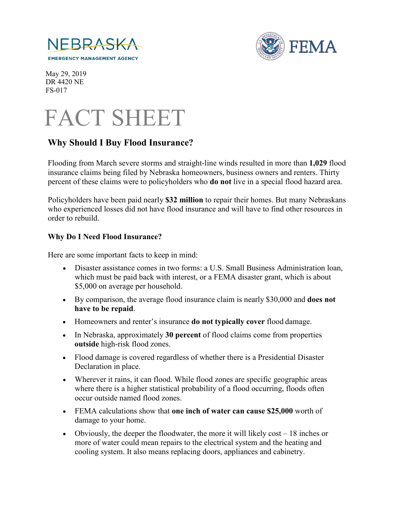



 May 29, 2019 DR 4420 NE FS-017



# **Why Should I Buy Flood Insurance?**

Flooding from March severe storms and straight-line winds resulted in more than **1,029** flood insurance claims being filed by Nebraska homeowners, business owners and renters. Thirty percent of these claims were to policyholders who **do not** live in a special flood hazard area.

Policyholders have been paid nearly **\$32 million** to repair their homes. But many Nebraskans who experienced losses did not have flood insurance and will have to find other resources in order to rebuild.

#### **Why Do I Need Flood Insurance?**

Here are some important facts to keep in mind:

- Disaster assistance comes in two forms: a U.S. Small Business Administration loan, which must be paid back with interest, or a FEMA disaster grant, which is about \$5,000 on average per household.
- By comparison, the average flood insurance claim is nearly \$30,000 and **does not have to be repaid**.
- Homeowners and renter's insurance **do not typically cover** flood damage.
- In Nebraska, approximately **30 percent** of flood claims come from properties **outside** high-risk flood zones.
- Flood damage is covered regardless of whether there is a Presidential Disaster Declaration in place.
- Wherever it rains, it can flood. While flood zones are specific geographic areas where there is a higher statistical probability of a flood occurring, floods often occur outside named flood zones.
- FEMA calculations show that **one inch of water can cause \$25,000** worth of damage to your home.
- Obviously, the deeper the floodwater, the more it will likely  $cost 18$  inches or more of water could mean repairs to the electrical system and the heating and cooling system. It also means replacing doors, appliances and cabinetry.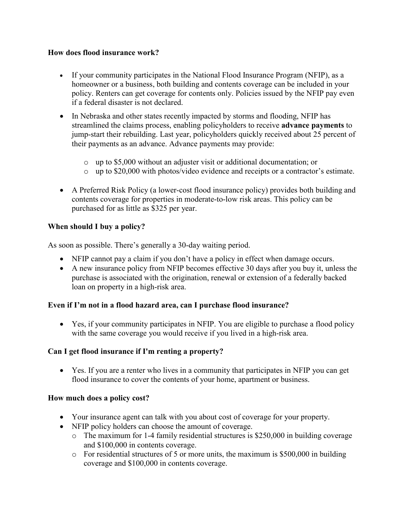### **How does flood insurance work?**

- If your community participates in the National Flood Insurance Program (NFIP), as a homeowner or a business, both building and contents coverage can be included in your policy. Renters can get coverage for contents only. Policies issued by the NFIP pay even if a federal disaster is not declared.
- In Nebraska and other states recently impacted by storms and flooding, NFIP has streamlined the claims process, enabling policyholders to receive **advance payments** to jump-start their rebuilding. Last year, policyholders quickly received about 25 percent of their payments as an advance. Advance payments may provide:
	- o up to \$5,000 without an adjuster visit or additional documentation; or
	- o up to \$20,000 with photos/video evidence and receipts or a contractor's estimate.
- A Preferred Risk Policy (a lower-cost flood insurance policy) provides both building and contents coverage for properties in moderate-to-low risk areas. This policy can be purchased for as little as \$325 per year.

## **When should I buy a policy?**

As soon as possible. There's generally a 30-day waiting period.

- NFIP cannot pay a claim if you don't have a policy in effect when damage occurs.
- A new insurance policy from NFIP becomes effective 30 days after you buy it, unless the purchase is associated with the origination, renewal or extension of a federally backed loan on property in a high-risk area.

### **Even if I'm not in a flood hazard area, can I purchase flood insurance?**

• Yes, if your community participates in NFIP. You are eligible to purchase a flood policy with the same coverage you would receive if you lived in a high-risk area.

### **Can I get flood insurance if I'm renting a property?**

• Yes. If you are a renter who lives in a community that participates in NFIP you can get flood insurance to cover the contents of your home, apartment or business.

### **How much does a policy cost?**

- Your insurance agent can talk with you about cost of coverage for your property.
- NFIP policy holders can choose the amount of coverage.
	- o The maximum for 1-4 family residential structures is \$250,000 in building coverage and \$100,000 in contents coverage.
	- o For residential structures of 5 or more units, the maximum is \$500,000 in building coverage and \$100,000 in contents coverage.